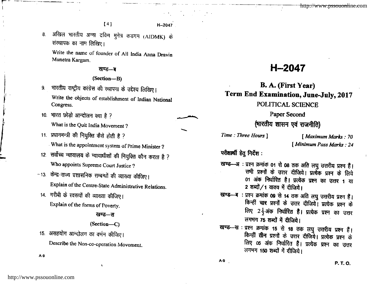$[4]$  H-2047

8. अखिल भारतीय अन्ना दविण मुनेत्र कडगम (AIDMK) के रांस्थापक का नाम लिखिए।

Write the name of founder of All India Anna Dravin Munetra Kargam.

## खण्ड—ब

## (Section-B)

- 9. भारतीय राष्ट्रीय कांग्रेस की स्थापना के उद्देश्य लिखिए। Write the objects of establishment of Indian Nationa! Congress.
- 10. भारत छोडो आन्दोलन क्या है ? What is the Quit India Movement ?
- 11. प्रधानमन्त्री की नियुक्ति कैसे होती है ? What is the appointment system of prime Minister ?
- 12. सर्वोच्च न्यायालय के न्यायाधीशों की नियुक्ति कौन करता है ? Who appoints Supreme Court Justice ?
- $-13$ . केन्द्र-राज्य प्रशासनिक सम्बन्धों की व्याख्या कीजिए। Explain of the Centre-State Administrative Relations.
- 14. गरीबी के स्वरूपों की व्याख्या कीजिए। Explain of the forms of Poverty.

### खण्ड—स

### (Section-C)

15. असहयोग आन्दोलन का वर्णन कीजिए।

Describe the Non-co-operation Movement.

A-9

# H-2047

# B. A. (First Year) Term End Examination, June.July, 2017

# POLITICAL SCIENCE

Paper Second

# (भारतीय शासन एवं राजनीति)

Time : Three Hours ] [ Maximum Marks : 70

<sup>f</sup>Mininum Pass Marks : 2l

परीक्षार्थी हेतु निर्देश:

- खण्ड--अः प्रश्न क्रमांक 01 से 08 तक अति लघु उत्तरीय प्रश्न हैं। सभी प्रश्नों के उत्तर दीजिये। प्रत्येक प्रश्न के लिये 01 अंक निर्धारित है। प्रत्येक प्रश्न का उत्तर 1 या 2 शब्दों / 1 वाक्य में दीजिये।
- खण्ड—ब : प्रश्न क्रमांक 09 से 14 तक अति लघु उत्तरीय प्रश्न हैं।<br>किन्हीं चार प्रश्नों के उत्तर दीजिये। प्रत्येक प्रश्न के लिए 2 $\frac{1}{2}$ अंक निर्धारित हैं। प्रत्येक प्रश्न का उत्तर लगभग 75 शब्दों में दीजिये।
- खण्ड--स : प्रश्न क्रमांक 15 से 18 तक लघु उत्तरीय प्रश्न हैं। किन्हीं तीन प्रश्नों के उत्तर दीजिये। प्रत्येक प्रश्न के लिए 05 अंक निर्धारित हैं। प्रत्येक प्रश्न का उत्तर लगभग 150 शब्दों में दीजिये।

 $A-9$  **P. T. O.**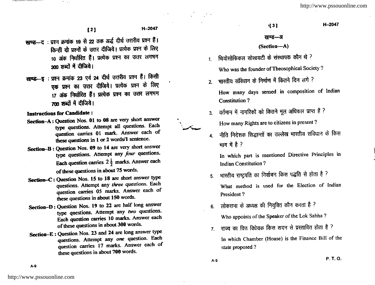http://www.pssouonline.com

H-2047

- खण्ड-द : प्रश्न क्रमांक 19 से 22 तक अर्द्ध दीर्घ उत्तरीय प्रश्न हैं। किन्हीं दो प्रश्नों के उत्तर दीजिये। प्रत्येक प्रश्न के लिए 10 अंक निर्धारित हैं। प्रत्येक प्रश्न का उत्तर लगभग 300 शब्दों में दीजिये।
- खण्ड--इ : प्रश्न क्रमांक 23 एवं 24 दीर्घ उत्तरीय प्रश्न हैं। किसी एक प्रश्न का उत्तर दीजिये। प्रत्येक प्रश्न के लिए 17 अंक निर्धारित हैं। प्रत्येक प्रश्न का उत्तर लगभग 700 शब्दों में दीजिये।

**Instructions for Candidate:** 

- Section-A: Question Nos. 01 to 08 are very short answer type questions. Attempt all questions. Each question carries 01 mark. Answer each of these questions in 1 or 2 words/1 sentence.
- Section-B: Question Nos. 09 to 14 are very short answer type questions. Attempt any four questions. Each question carries  $2\frac{1}{2}$  marks. Answer each of these questions in about 75 words.
- Section-C: Question Nos. 15 to 18 are short answer type questions. Attempt any three questions. Each question carries 05 marks. Answer each of these questions in about 150 words.
- Section-D: Question Nos. 19 to 22 are half long answer type questions. Attempt any two questions. Each question carries 10 marks. Answer each of these questions in about 300 words.
- Section-E: Question Nos. 23 and 24 are long answer type questions. Attempt any one question. Each question carries 17 marks. Answer each of these questions in about 700 words.

 $131$ 

#### खण्ड—अ

### (Section-A)

- थियोसोफिकल सोसायटी के संस्थापक कौन थे ?  $1<sup>1</sup>$ Who was the founder of Theosophical Society?
- भारतीय संविधान के निर्माण में कितने दिन लगे ?  $\overline{2}$

How many days sensed in composition of Indian **Constitution?** 

- वर्तमान में नागरिकों को कितने मूल अधिकार प्राप्त हैं ?  $3<sub>l</sub>$ How many Rights are to citizens in present?
- नीति निदेशक सिद्धान्तों का उल्लेख भारतीय संविधान के किस  $\overline{\mathbf{A}}$ भाग में है ?

In which part is mentioned Directive Principles in **Indian Constitution?** 

- भारतीय राष्ट्रपति का निर्वाचन किस पद्धति से होता है ?  $5.$ What method is used for the Election of Indian President?
- 6. लोकसभा के अध्यक्ष की नियुक्ति कौन करता है ?

Who appoints of the Speaker of the Lok Sabha?

7. राज्य का वित्त विधेयक किस सदन से प्रस्तावित होता है ? In which Chamber (House) is the Finance Bill of the state proposed?

P. T. O.

 $A-9$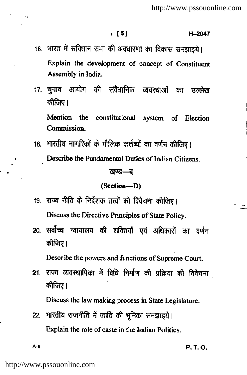### r [51 H-2047

- 16. भारत में संविधान सभा की अवधारणा का विकास समझाइये। Explain the development of concept of Constituent Assembly in lndia.
- 17. चुनाव आयोग की संवैधानिक व्यवस्थाओं का उल्लेख कीजिए ।

Mention the constitutional system of Election Commission.

18. भारतीय नागरिकों के मौलिक कर्त्तव्यों का वर्णन कीजिए। Describe the Fundamental Duties of Indian Citizens.

#### खण्ड—ट

#### (Section-D)

- 19. राज्य नीति के निर्देशक तत्वों की विवेचना कीजिए। Discuss the Directive Principles of State policy.
- 20. सर्वोच्च न्यायालय की शक्तियों एवं अधिकारों का वर्णन कीजिए।

Describe the powers and functions of Supreme Court.

21. राज्य व्यवस्थापिका में विधि निर्माण की प्रक्रिया की विवेचना कीजिए।

Discuss the law making process in State Legislature.

22. भारतीय राजनीति में जाति की भूमिका समझाइये। Explain the role of caste in the Indian Politics.

 $A-9$  **P. T. O.**